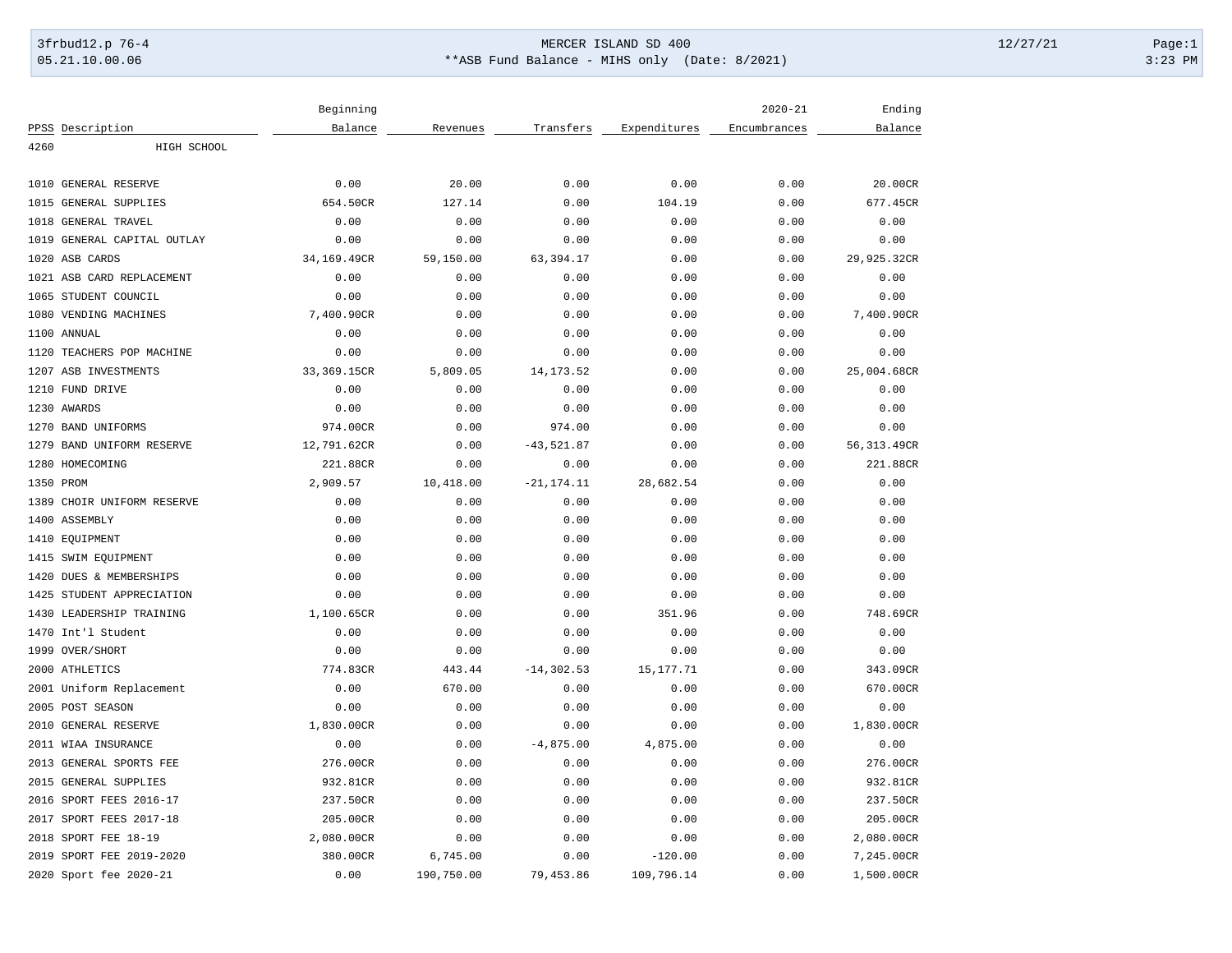# 3frbud12.p 76-4 Page:1 05.21.10.00.06 \*\*ASB Fund Balance - MIHS only (Date: 8/2021) 3:23 PM

|                                | Beginning   |            |               |              | $2020 - 21$  | Ending      |
|--------------------------------|-------------|------------|---------------|--------------|--------------|-------------|
| PPSS Description               | Balance     | Revenues   | Transfers     | Expenditures | Encumbrances | Balance     |
| 4260<br>HIGH SCHOOL            |             |            |               |              |              |             |
| 1010<br><b>GENERAL RESERVE</b> | 0.00        | 20.00      | 0.00          | 0.00         | 0.00         | 20.00CR     |
| 1015<br>GENERAL SUPPLIES       | 654.50CR    | 127.14     | 0.00          | 104.19       | 0.00         | 677.45CR    |
| GENERAL TRAVEL<br>1018         | 0.00        | 0.00       | 0.00          | 0.00         | 0.00         | 0.00        |
| 1019 GENERAL CAPITAL OUTLAY    | 0.00        | 0.00       | 0.00          | 0.00         | 0.00         | 0.00        |
| 1020<br>ASB CARDS              | 34,169.49CR | 59,150.00  | 63,394.17     | 0.00         | 0.00         | 29,925.32CR |
| 1021 ASB CARD REPLACEMENT      | 0.00        | 0.00       | 0.00          | 0.00         | 0.00         | 0.00        |
| 1065<br>STUDENT COUNCIL        | 0.00        | 0.00       | 0.00          | 0.00         | 0.00         | 0.00        |
| 1080<br>VENDING MACHINES       | 7,400.90CR  | 0.00       | 0.00          | 0.00         | 0.00         | 7,400.90CR  |
| 1100 ANNUAL                    | 0.00        | 0.00       | 0.00          | 0.00         | 0.00         | 0.00        |
| TEACHERS POP MACHINE<br>1120   | 0.00        | 0.00       | 0.00          | 0.00         | 0.00         | 0.00        |
| 1207 ASB INVESTMENTS           | 33,369.15CR | 5,809.05   | 14, 173.52    | 0.00         | 0.00         | 25,004.68CR |
| 1210 FUND DRIVE                | 0.00        | 0.00       | 0.00          | 0.00         | 0.00         | 0.00        |
| 1230 AWARDS                    | 0.00        | 0.00       | 0.00          | 0.00         | 0.00         | 0.00        |
| 1270 BAND UNIFORMS             | 974.00CR    | 0.00       | 974.00        | 0.00         | 0.00         | 0.00        |
| 1279<br>BAND UNIFORM RESERVE   | 12,791.62CR | 0.00       | $-43,521.87$  | 0.00         | 0.00         | 56,313.49CR |
| 1280 HOMECOMING                | 221.88CR    | 0.00       | 0.00          | 0.00         | 0.00         | 221.88CR    |
| 1350 PROM                      | 2,909.57    | 10,418.00  | $-21, 174.11$ | 28,682.54    | 0.00         | 0.00        |
| 1389<br>CHOIR UNIFORM RESERVE  | 0.00        | 0.00       | 0.00          | 0.00         | 0.00         | 0.00        |
| 1400 ASSEMBLY                  | 0.00        | 0.00       | 0.00          | 0.00         | 0.00         | 0.00        |
|                                |             |            |               |              |              |             |
| EQUIPMENT<br>1410              | 0.00        | 0.00       | 0.00          | 0.00         | 0.00         | 0.00        |
| SWIM EQUIPMENT<br>1415         | 0.00        | 0.00       | 0.00          | 0.00         | 0.00         | 0.00        |
| 1420<br>DUES & MEMBERSHIPS     | 0.00        | 0.00       | 0.00          | 0.00         | 0.00         | 0.00        |
| 1425<br>STUDENT APPRECIATION   | 0.00        | 0.00       | 0.00          | 0.00         | 0.00         | 0.00        |
| 1430<br>LEADERSHIP TRAINING    | 1,100.65CR  | 0.00       | 0.00          | 351.96       | 0.00         | 748.69CR    |
| 1470 Int'l Student             | 0.00        | 0.00       | 0.00          | 0.00         | 0.00         | 0.00        |
| 1999 OVER/SHORT                | 0.00        | 0.00       | 0.00          | 0.00         | 0.00         | 0.00        |
| 2000 ATHLETICS                 | 774.83CR    | 443.44     | $-14, 302.53$ | 15, 177. 71  | 0.00         | 343.09CR    |
| 2001 Uniform Replacement       | 0.00        | 670.00     | 0.00          | 0.00         | 0.00         | 670.00CR    |
| 2005<br>POST SEASON            | 0.00        | 0.00       | 0.00          | 0.00         | 0.00         | 0.00        |
| <b>GENERAL RESERVE</b><br>2010 | 1,830.00CR  | 0.00       | 0.00          | 0.00         | 0.00         | 1,830.00CR  |
| 2011 WIAA INSURANCE            | 0.00        | 0.00       | $-4,875.00$   | 4,875.00     | 0.00         | 0.00        |
| 2013 GENERAL SPORTS FEE        | 276.00CR    | 0.00       | 0.00          | 0.00         | 0.00         | 276.00CR    |
| 2015<br>GENERAL SUPPLIES       | 932.81CR    | 0.00       | 0.00          | 0.00         | 0.00         | 932.81CR    |
| 2016<br>SPORT FEES 2016-17     | 237.50CR    | 0.00       | 0.00          | 0.00         | 0.00         | 237.50CR    |
| SPORT FEES 2017-18<br>2017     | 205.00CR    | 0.00       | 0.00          | 0.00         | 0.00         | 205.00CR    |
| 2018<br>SPORT FEE 18-19        | 2,080.00CR  | 0.00       | 0.00          | 0.00         | 0.00         | 2,080.00CR  |
| 2019 SPORT FEE 2019-2020       | 380.00CR    | 6,745.00   | 0.00          | $-120.00$    | 0.00         | 7,245.00CR  |
| 2020 Sport fee 2020-21         | 0.00        | 190,750.00 | 79,453.86     | 109,796.14   | 0.00         | 1,500.00CR  |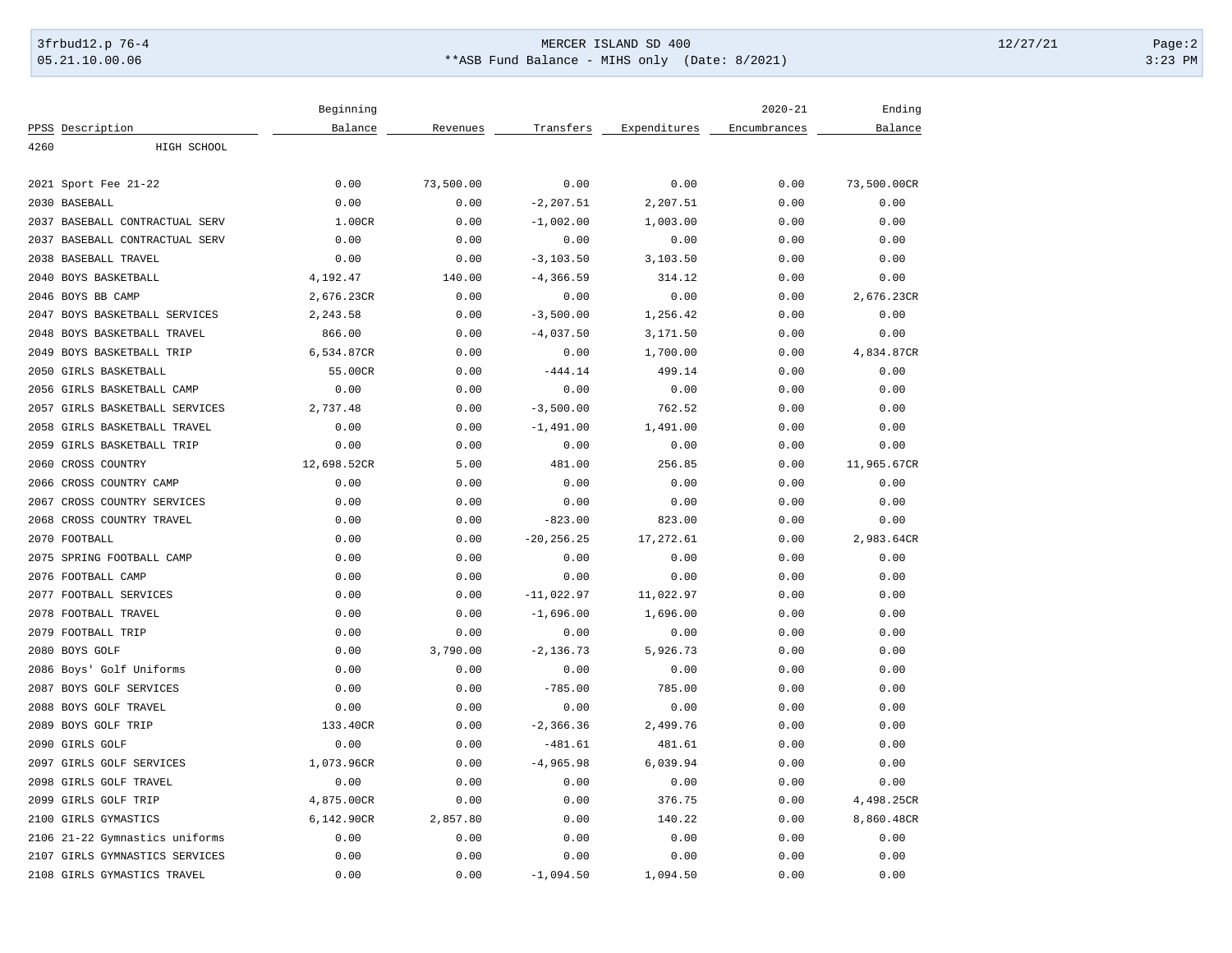# 3frbud12.p 76-4 Page:2 05.21.10.00.06 \*\*ASB Fund Balance - MIHS only (Date: 8/2021) 3:23 PM

|                                              | Beginning                |                  |               |              | $2020 - 21$  | Ending                   |
|----------------------------------------------|--------------------------|------------------|---------------|--------------|--------------|--------------------------|
| PPSS Description                             | Balance                  | Revenues         | Transfers     | Expenditures | Encumbrances | Balance                  |
| 4260<br>HIGH SCHOOL                          |                          |                  |               |              |              |                          |
|                                              |                          |                  |               |              |              |                          |
| 2021 Sport Fee 21-22                         | 0.00                     | 73,500.00        | 0.00          | 0.00         | 0.00         | 73,500.00CR              |
| 2030 BASEBALL                                | 0.00                     | 0.00             | $-2, 207.51$  | 2,207.51     | 0.00         | 0.00                     |
| 2037 BASEBALL CONTRACTUAL SERV               | 1.00CR                   | 0.00             | $-1,002.00$   | 1,003.00     | 0.00         | 0.00                     |
| 2037 BASEBALL CONTRACTUAL SERV               | 0.00                     | 0.00             | 0.00          | 0.00         | 0.00         | 0.00                     |
| 2038 BASEBALL TRAVEL                         | 0.00                     | 0.00             | $-3, 103.50$  | 3,103.50     | 0.00         | 0.00                     |
| 2040 BOYS BASKETBALL                         | 4,192.47                 | 140.00           | $-4, 366.59$  | 314.12       | 0.00         | 0.00                     |
| 2046 BOYS BB CAMP                            | 2,676.23CR               | 0.00             | 0.00          | 0.00         | 0.00         | 2,676.23CR               |
| 2047 BOYS BASKETBALL SERVICES                | 2,243.58                 | 0.00             | $-3,500.00$   | 1,256.42     | 0.00         | 0.00                     |
| 2048 BOYS BASKETBALL TRAVEL                  | 866.00                   | 0.00             | $-4,037.50$   | 3,171.50     | 0.00         | 0.00                     |
| 2049 BOYS BASKETBALL TRIP                    | 6,534.87CR               | 0.00             | 0.00          | 1,700.00     | 0.00         | 4,834.87CR               |
| 2050 GIRLS BASKETBALL                        | 55.00CR                  | 0.00             | $-444.14$     | 499.14       | 0.00         | 0.00                     |
| 2056 GIRLS BASKETBALL CAMP                   | 0.00                     | 0.00             | 0.00          | 0.00         | 0.00         | 0.00                     |
| 2057 GIRLS BASKETBALL SERVICES               | 2,737.48                 | 0.00             | $-3,500.00$   | 762.52       | 0.00         | 0.00                     |
| 2058 GIRLS BASKETBALL TRAVEL                 | 0.00                     | 0.00             | $-1,491.00$   | 1,491.00     | 0.00         | 0.00                     |
| 2059 GIRLS BASKETBALL TRIP                   | 0.00                     | 0.00             | 0.00          | 0.00         | 0.00         | 0.00                     |
| 2060 CROSS COUNTRY                           | 12,698.52CR              | 5.00             | 481.00        | 256.85       | 0.00         | 11,965.67CR              |
| 2066 CROSS COUNTRY CAMP                      | 0.00                     | 0.00             | 0.00          | 0.00         | 0.00         | 0.00                     |
| 2067 CROSS COUNTRY SERVICES                  | 0.00                     | 0.00             | 0.00          | 0.00         | 0.00         | 0.00                     |
| 2068 CROSS COUNTRY TRAVEL                    | 0.00                     | 0.00             | $-823.00$     | 823.00       | 0.00         | 0.00                     |
| 2070 FOOTBALL                                | 0.00                     | 0.00             | $-20, 256.25$ | 17,272.61    | 0.00         | 2,983.64CR               |
| 2075<br>SPRING FOOTBALL CAMP                 | 0.00                     | 0.00             | 0.00          | 0.00         | 0.00         | 0.00                     |
| 2076 FOOTBALL CAMP                           | 0.00                     | 0.00             | 0.00          | 0.00         | 0.00         | 0.00                     |
| 2077 FOOTBALL SERVICES                       | 0.00                     | 0.00             | $-11,022.97$  | 11,022.97    | 0.00         | 0.00                     |
| 2078 FOOTBALL TRAVEL                         | 0.00                     | 0.00             | $-1,696.00$   | 1,696.00     | 0.00         | 0.00                     |
| 2079 FOOTBALL TRIP                           | 0.00                     | 0.00             | 0.00          | 0.00         | 0.00         | 0.00                     |
| 2080 BOYS GOLF                               | 0.00                     | 3,790.00         | $-2, 136.73$  | 5,926.73     | 0.00         | 0.00                     |
| 2086 Boys' Golf Uniforms                     | 0.00                     | 0.00             | 0.00          | 0.00         | 0.00         | 0.00                     |
| 2087 BOYS GOLF SERVICES                      | 0.00                     | 0.00             | $-785.00$     | 785.00       | 0.00         | 0.00                     |
| 2088 BOYS GOLF TRAVEL                        | 0.00                     | 0.00             | 0.00          | 0.00         | 0.00         | 0.00                     |
| 2089 BOYS GOLF TRIP                          | 133.40CR                 | 0.00             | $-2, 366.36$  | 2,499.76     | 0.00         | 0.00                     |
| 2090 GIRLS GOLF                              | 0.00                     | 0.00             | $-481.61$     | 481.61       | 0.00         | 0.00                     |
| 2097 GIRLS GOLF SERVICES                     | 1,073.96CR               | 0.00             | $-4,965.98$   | 6,039.94     | 0.00         | 0.00                     |
| 2098 GIRLS GOLF TRAVEL                       | 0.00                     | 0.00             | 0.00          | 0.00         | 0.00         | 0.00                     |
|                                              |                          |                  |               | 376.75       |              |                          |
| 2099 GIRLS GOLF TRIP<br>2100 GIRLS GYMASTICS | 4,875.00CR<br>6,142.90CR | 0.00<br>2,857.80 | 0.00<br>0.00  | 140.22       | 0.00<br>0.00 | 4,498.25CR<br>8,860.48CR |
|                                              |                          |                  |               |              |              |                          |
| 2106 21-22 Gymnastics uniforms               | 0.00                     | 0.00             | 0.00          | 0.00         | 0.00         | 0.00                     |
| 2107 GIRLS GYMNASTICS SERVICES               | 0.00                     | 0.00             | 0.00          | 0.00         | 0.00         | 0.00                     |
| 2108 GIRLS GYMASTICS TRAVEL                  | 0.00                     | 0.00             | $-1,094.50$   | 1,094.50     | 0.00         | 0.00                     |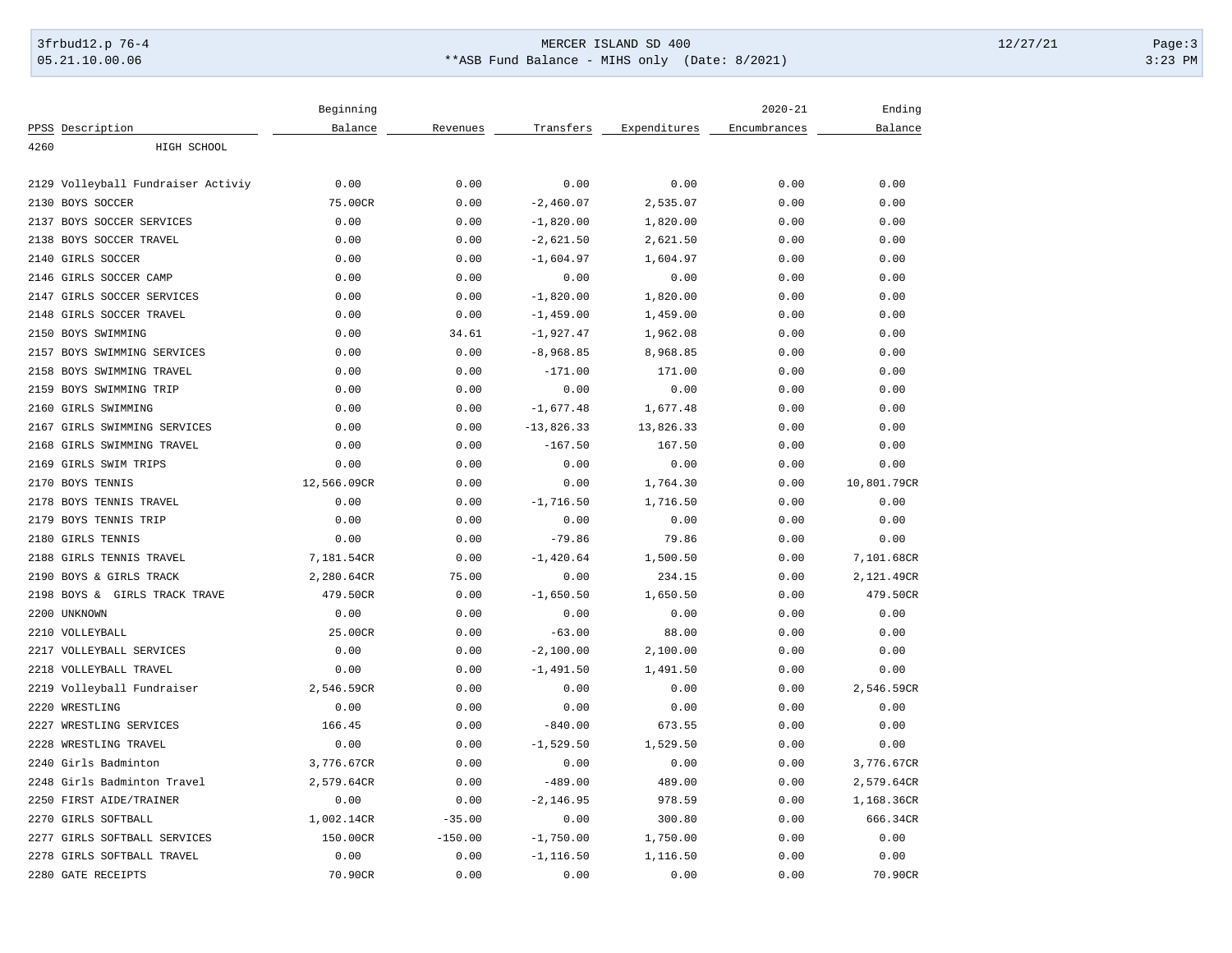# 3frbud12.p 76-4 Page:3 05.21.10.00.06 \*\*ASB Fund Balance - MIHS only (Date: 8/2021) 3:23 PM

|                                    | Beginning   |           |              |              | $2020 - 21$  | Ending      |
|------------------------------------|-------------|-----------|--------------|--------------|--------------|-------------|
| PPSS Description                   | Balance     | Revenues  | Transfers    | Expenditures | Encumbrances | Balance     |
| 4260<br>HIGH SCHOOL                |             |           |              |              |              |             |
|                                    |             |           |              |              |              |             |
| 2129 Volleyball Fundraiser Activiy | 0.00        | 0.00      | 0.00         | 0.00         | 0.00         | 0.00        |
| 2130<br>BOYS SOCCER                | 75.00CR     | 0.00      | $-2,460.07$  | 2,535.07     | 0.00         | 0.00        |
| 2137 BOYS SOCCER SERVICES          | 0.00        | 0.00      | $-1,820.00$  | 1,820.00     | 0.00         | 0.00        |
| 2138 BOYS SOCCER TRAVEL            | 0.00        | 0.00      | $-2,621.50$  | 2,621.50     | 0.00         | 0.00        |
| 2140 GIRLS SOCCER                  | 0.00        | 0.00      | $-1,604.97$  | 1,604.97     | 0.00         | 0.00        |
| 2146 GIRLS SOCCER CAMP             | 0.00        | 0.00      | 0.00         | 0.00         | 0.00         | 0.00        |
| 2147 GIRLS SOCCER SERVICES         | 0.00        | 0.00      | $-1,820.00$  | 1,820.00     | 0.00         | 0.00        |
| 2148 GIRLS SOCCER TRAVEL           | 0.00        | 0.00      | $-1,459.00$  | 1,459.00     | 0.00         | 0.00        |
| 2150 BOYS SWIMMING                 | 0.00        | 34.61     | $-1,927.47$  | 1,962.08     | 0.00         | 0.00        |
| 2157 BOYS SWIMMING SERVICES        | 0.00        | 0.00      | $-8,968.85$  | 8,968.85     | 0.00         | 0.00        |
| 2158 BOYS SWIMMING TRAVEL          | 0.00        | 0.00      | $-171.00$    | 171.00       | 0.00         | 0.00        |
| 2159 BOYS SWIMMING TRIP            | 0.00        | 0.00      | 0.00         | 0.00         | 0.00         | 0.00        |
| 2160 GIRLS SWIMMING                | 0.00        | 0.00      | $-1,677.48$  | 1,677.48     | 0.00         | 0.00        |
| 2167 GIRLS SWIMMING SERVICES       | 0.00        | 0.00      | $-13,826.33$ | 13,826.33    | 0.00         | 0.00        |
| 2168 GIRLS SWIMMING TRAVEL         | 0.00        | 0.00      | $-167.50$    | 167.50       | 0.00         | 0.00        |
| 2169 GIRLS SWIM TRIPS              | 0.00        | 0.00      | 0.00         | 0.00         | 0.00         | 0.00        |
| 2170 BOYS TENNIS                   | 12,566.09CR | 0.00      | 0.00         | 1,764.30     | 0.00         | 10,801.79CR |
| 2178 BOYS TENNIS TRAVEL            | 0.00        | 0.00      | $-1,716.50$  | 1,716.50     | 0.00         | 0.00        |
| 2179 BOYS TENNIS TRIP              | 0.00        | 0.00      | 0.00         | 0.00         | 0.00         | 0.00        |
| 2180 GIRLS TENNIS                  | 0.00        | 0.00      | $-79.86$     | 79.86        | 0.00         | 0.00        |
| 2188 GIRLS TENNIS TRAVEL           | 7,181.54CR  | 0.00      | $-1,420.64$  | 1,500.50     | 0.00         | 7,101.68CR  |
| 2190 BOYS & GIRLS TRACK            | 2,280.64CR  | 75.00     | 0.00         | 234.15       | 0.00         | 2,121.49CR  |
| 2198 BOYS & GIRLS TRACK TRAVE      | 479.50CR    | 0.00      | $-1,650.50$  | 1,650.50     | 0.00         | 479.50CR    |
| 2200 UNKNOWN                       | 0.00        | 0.00      | 0.00         | 0.00         | 0.00         | 0.00        |
| 2210 VOLLEYBALL                    | 25.00CR     | 0.00      | $-63.00$     | 88.00        | 0.00         | 0.00        |
| 2217 VOLLEYBALL SERVICES           | 0.00        | 0.00      | $-2,100.00$  | 2,100.00     | 0.00         | 0.00        |
| 2218 VOLLEYBALL TRAVEL             | 0.00        | 0.00      | $-1,491.50$  | 1,491.50     | 0.00         | 0.00        |
| 2219 Volleyball Fundraiser         | 2,546.59CR  | 0.00      | 0.00         | 0.00         | 0.00         | 2,546.59CR  |
| 2220 WRESTLING                     | 0.00        | 0.00      | 0.00         | 0.00         | 0.00         | 0.00        |
| 2227 WRESTLING SERVICES            | 166.45      | 0.00      | $-840.00$    | 673.55       | 0.00         | 0.00        |
| 2228 WRESTLING TRAVEL              | 0.00        | 0.00      | $-1,529.50$  | 1,529.50     | 0.00         | 0.00        |
| 2240 Girls Badminton               | 3,776.67CR  | 0.00      | 0.00         | 0.00         | 0.00         | 3,776.67CR  |
| 2248 Girls Badminton Travel        | 2,579.64CR  | 0.00      | $-489.00$    | 489.00       | 0.00         | 2,579.64CR  |
| 2250 FIRST AIDE/TRAINER            | 0.00        | 0.00      | $-2, 146.95$ | 978.59       | 0.00         | 1,168.36CR  |
| 2270 GIRLS SOFTBALL                | 1,002.14CR  | $-35.00$  | 0.00         | 300.80       | 0.00         | 666.34CR    |
| 2277 GIRLS SOFTBALL SERVICES       | 150.00CR    | $-150.00$ | $-1,750.00$  | 1,750.00     | 0.00         | 0.00        |
| 2278 GIRLS SOFTBALL TRAVEL         | 0.00        | 0.00      | $-1, 116.50$ | 1,116.50     | 0.00         | 0.00        |
| 2280 GATE RECEIPTS                 | 70.90CR     | 0.00      | 0.00         | 0.00         | 0.00         | 70.90CR     |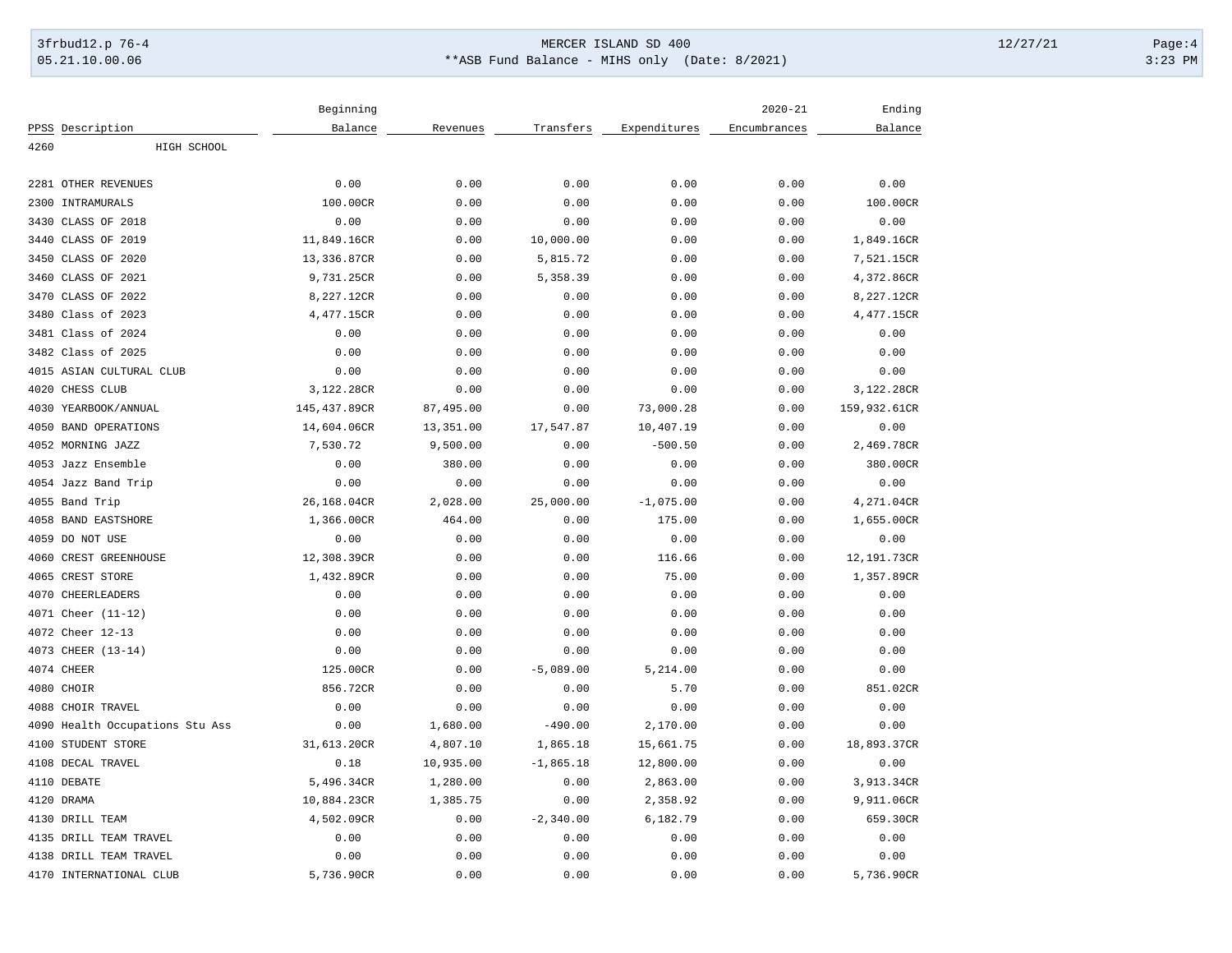# 3frbud12.p 76-4 Page:4 Page:4 05.21.10.00.06 \*\*ASB Fund Balance - MIHS only (Date: 8/2021) 3:23 PM

|                                 | Beginning    |           |              |              | $2020 - 21$  | Ending       |  |
|---------------------------------|--------------|-----------|--------------|--------------|--------------|--------------|--|
| PPSS Description                | Balance      | Revenues  | Transfers    | Expenditures | Encumbrances | Balance      |  |
| HIGH SCHOOL<br>4260             |              |           |              |              |              |              |  |
|                                 |              |           |              |              |              |              |  |
| 2281 OTHER REVENUES             | 0.00         | 0.00      | 0.00         | 0.00         | 0.00         | 0.00         |  |
| 2300<br>INTRAMURALS             | 100.00CR     | 0.00      | 0.00         | 0.00         | 0.00         | 100.00CR     |  |
| CLASS OF 2018<br>3430           | 0.00         | 0.00      | 0.00         | 0.00         | 0.00         | 0.00         |  |
| 3440<br>CLASS OF 2019           | 11,849.16CR  | 0.00      | 10,000.00    | 0.00         | 0.00         | 1,849.16CR   |  |
| CLASS OF 2020<br>3450           | 13,336.87CR  | 0.00      | 5,815.72     | 0.00         | 0.00         | 7,521.15CR   |  |
| CLASS OF 2021<br>3460           | 9,731.25CR   | 0.00      | 5,358.39     | 0.00         | 0.00         | 4,372.86CR   |  |
| 3470<br>CLASS OF 2022           | 8,227.12CR   | 0.00      | 0.00         | 0.00         | 0.00         | 8,227.12CR   |  |
| Class of 2023<br>3480           | 4,477.15CR   | 0.00      | 0.00         | 0.00         | 0.00         | 4,477.15CR   |  |
| 3481 Class of 2024              | 0.00         | 0.00      | 0.00         | 0.00         | 0.00         | 0.00         |  |
| 3482 Class of 2025              | 0.00         | 0.00      | 0.00         | 0.00         | 0.00         | 0.00         |  |
| 4015 ASIAN CULTURAL CLUB        | 0.00         | 0.00      | 0.00         | 0.00         | 0.00         | 0.00         |  |
| 4020<br>CHESS CLUB              | 3,122.28CR   | 0.00      | 0.00         | 0.00         | 0.00         | 3,122.28CR   |  |
| 4030 YEARBOOK/ANNUAL            | 145,437.89CR | 87,495.00 | 0.00         | 73,000.28    | 0.00         | 159,932.61CR |  |
| 4050 BAND OPERATIONS            | 14,604.06CR  | 13,351.00 | 17,547.87    | 10,407.19    | 0.00         | 0.00         |  |
| 4052 MORNING JAZZ               | 7,530.72     | 9,500.00  | 0.00         | $-500.50$    | 0.00         | 2,469.78CR   |  |
| 4053 Jazz Ensemble              | 0.00         | 380.00    | 0.00         | 0.00         | 0.00         | 380.00CR     |  |
| 4054 Jazz Band Trip             | 0.00         | 0.00      | 0.00         | 0.00         | 0.00         | 0.00         |  |
| 4055 Band Trip                  | 26,168.04CR  | 2,028.00  | 25,000.00    | $-1,075.00$  | 0.00         | 4,271.04CR   |  |
| 4058 BAND EASTSHORE             | 1,366.00CR   | 464.00    | 0.00         | 175.00       | 0.00         | 1,655.00CR   |  |
| 4059 DO NOT USE                 | 0.00         | 0.00      | 0.00         | 0.00         | 0.00         | 0.00         |  |
| 4060<br>CREST GREENHOUSE        | 12,308.39CR  | 0.00      | 0.00         | 116.66       | 0.00         | 12,191.73CR  |  |
| CREST STORE<br>4065             | 1,432.89CR   | 0.00      | 0.00         | 75.00        | 0.00         | 1,357.89CR   |  |
| 4070 CHEERLEADERS               | 0.00         | 0.00      | 0.00         | 0.00         | 0.00         | 0.00         |  |
| 4071 Cheer (11-12)              | 0.00         | 0.00      | 0.00         | 0.00         | 0.00         | 0.00         |  |
| 4072 Cheer 12-13                | 0.00         | 0.00      | 0.00         | 0.00         | 0.00         | 0.00         |  |
| 4073 CHEER (13-14)              | 0.00         | 0.00      | 0.00         | 0.00         | 0.00         | 0.00         |  |
| 4074 CHEER                      | 125.00CR     | 0.00      | $-5,089.00$  | 5,214.00     | 0.00         | 0.00         |  |
| 4080 CHOIR                      | 856.72CR     | 0.00      | 0.00         | 5.70         | 0.00         | 851.02CR     |  |
| 4088 CHOIR TRAVEL               | 0.00         | 0.00      | 0.00         | 0.00         | 0.00         | 0.00         |  |
| 4090 Health Occupations Stu Ass | 0.00         | 1,680.00  | $-490.00$    | 2,170.00     | 0.00         | 0.00         |  |
| STUDENT STORE<br>4100           | 31,613.20CR  | 4,807.10  | 1,865.18     | 15,661.75    | 0.00         | 18,893.37CR  |  |
| 4108 DECAL TRAVEL               | 0.18         | 10,935.00 | $-1,865.18$  | 12,800.00    | 0.00         | 0.00         |  |
| 4110 DEBATE                     | 5,496.34CR   | 1,280.00  | 0.00         | 2,863.00     | 0.00         | 3,913.34CR   |  |
| 4120 DRAMA                      | 10,884.23CR  | 1,385.75  | 0.00         | 2,358.92     | 0.00         | 9,911.06CR   |  |
| 4130 DRILL TEAM                 | 4,502.09CR   | 0.00      | $-2, 340.00$ | 6,182.79     | 0.00         | 659.30CR     |  |
| 4135 DRILL TEAM TRAVEL          | 0.00         | 0.00      | 0.00         | 0.00         | 0.00         | 0.00         |  |
| 4138 DRILL TEAM TRAVEL          | 0.00         | 0.00      | 0.00         | 0.00         | 0.00         | 0.00         |  |
| 4170 INTERNATIONAL CLUB         | 5,736.90CR   | 0.00      | 0.00         | 0.00         | 0.00         | 5,736.90CR   |  |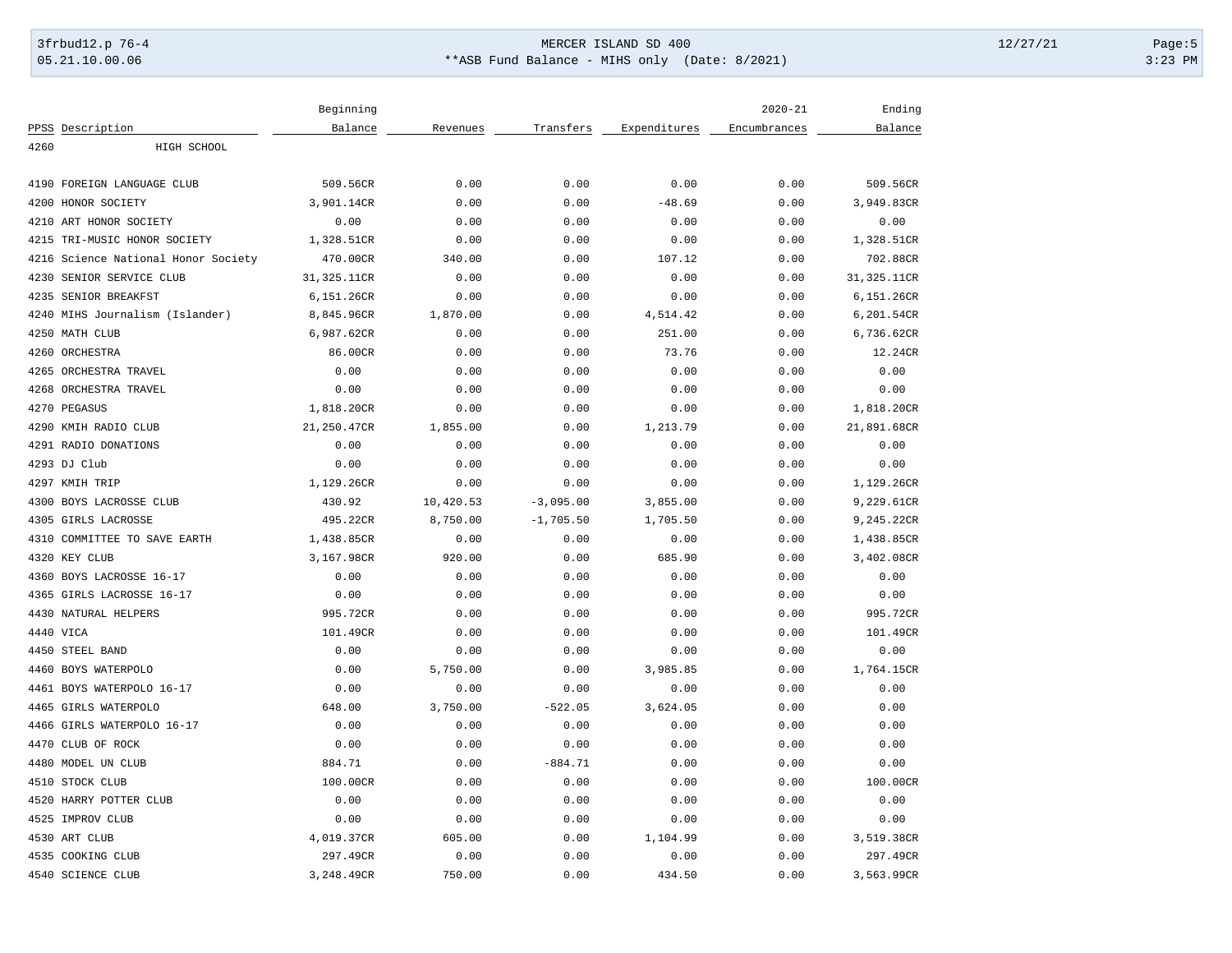# 3frbud12.p 76-4 Page:5 05.21.10.00.06 \*\*ASB Fund Balance - MIHS only (Date: 8/2021) 3:23 PM

|                                     | Beginning   |           |             |              | $2020 - 21$  | Ending      |
|-------------------------------------|-------------|-----------|-------------|--------------|--------------|-------------|
| PPSS Description                    | Balance     | Revenues  | Transfers   | Expenditures | Encumbrances | Balance     |
| 4260<br>HIGH SCHOOL                 |             |           |             |              |              |             |
|                                     |             |           |             |              |              |             |
| 4190<br>FOREIGN LANGUAGE CLUB       | 509.56CR    | 0.00      | 0.00        | 0.00         | 0.00         | 509.56CR    |
| 4200<br>HONOR SOCIETY               | 3,901.14CR  | 0.00      | 0.00        | $-48.69$     | 0.00         | 3,949.83CR  |
| 4210 ART HONOR SOCIETY              | 0.00        | 0.00      | 0.00        | 0.00         | 0.00         | 0.00        |
| 4215 TRI-MUSIC HONOR SOCIETY        | 1,328.51CR  | 0.00      | 0.00        | 0.00         | 0.00         | 1,328.51CR  |
| 4216 Science National Honor Society | 470.00CR    | 340.00    | 0.00        | 107.12       | 0.00         | 702.88CR    |
| SENIOR SERVICE CLUB<br>4230         | 31,325.11CR | 0.00      | 0.00        | 0.00         | 0.00         | 31,325.11CR |
| 4235<br>SENIOR BREAKFST             | 6,151.26CR  | 0.00      | 0.00        | 0.00         | 0.00         | 6,151.26CR  |
| 4240 MIHS Journalism (Islander)     | 8,845.96CR  | 1,870.00  | 0.00        | 4,514.42     | 0.00         | 6,201.54CR  |
| 4250 MATH CLUB                      | 6,987.62CR  | 0.00      | 0.00        | 251.00       | 0.00         | 6,736.62CR  |
| 4260<br>ORCHESTRA                   | 86.00CR     | 0.00      | 0.00        | 73.76        | 0.00         | 12.24CR     |
| 4265<br>ORCHESTRA TRAVEL            | 0.00        | 0.00      | 0.00        | 0.00         | 0.00         | 0.00        |
| 4268<br>ORCHESTRA TRAVEL            | 0.00        | 0.00      | 0.00        | 0.00         | 0.00         | 0.00        |
| 4270 PEGASUS                        | 1,818.20CR  | 0.00      | 0.00        | 0.00         | 0.00         | 1,818.20CR  |
| 4290 KMIH RADIO CLUB                | 21,250.47CR | 1,855.00  | 0.00        | 1,213.79     | 0.00         | 21,891.68CR |
| 4291 RADIO DONATIONS                | 0.00        | 0.00      | 0.00        | 0.00         | 0.00         | 0.00        |
| 4293 DJ Club                        | 0.00        | 0.00      | 0.00        | 0.00         | 0.00         | 0.00        |
| 4297 KMIH TRIP                      | 1,129.26CR  | 0.00      | 0.00        | 0.00         | 0.00         | 1,129.26CR  |
| 4300<br>BOYS LACROSSE CLUB          | 430.92      | 10,420.53 | $-3,095.00$ | 3,855.00     | 0.00         | 9,229.61CR  |
| 4305 GIRLS LACROSSE                 | 495.22CR    | 8,750.00  | $-1,705.50$ | 1,705.50     | 0.00         | 9,245.22CR  |
| 4310<br>COMMITTEE TO SAVE EARTH     | 1,438.85CR  | 0.00      | 0.00        | 0.00         | 0.00         | 1,438.85CR  |
| 4320 KEY CLUB                       | 3,167.98CR  | 920.00    | 0.00        | 685.90       | 0.00         | 3,402.08CR  |
| 4360 BOYS LACROSSE 16-17            | 0.00        | 0.00      | 0.00        | 0.00         | 0.00         | 0.00        |
| 4365 GIRLS LACROSSE 16-17           | 0.00        | 0.00      | 0.00        | 0.00         | 0.00         | 0.00        |
| 4430 NATURAL HELPERS                | 995.72CR    | 0.00      | 0.00        | 0.00         | 0.00         | 995.72CR    |
| 4440 VICA                           | 101.49CR    | 0.00      | 0.00        | 0.00         | 0.00         | 101.49CR    |
| 4450 STEEL BAND                     | 0.00        | 0.00      | 0.00        | 0.00         | 0.00         | 0.00        |
| 4460 BOYS WATERPOLO                 | 0.00        | 5,750.00  | 0.00        | 3,985.85     | 0.00         | 1,764.15CR  |
| 4461<br>BOYS WATERPOLO 16-17        | 0.00        | 0.00      | 0.00        | 0.00         | 0.00         | 0.00        |
| 4465 GIRLS WATERPOLO                | 648.00      | 3,750.00  | $-522.05$   | 3,624.05     | 0.00         | 0.00        |
| 4466 GIRLS WATERPOLO 16-17          | 0.00        | 0.00      | 0.00        | 0.00         | 0.00         | 0.00        |
| 4470<br>CLUB OF ROCK                | 0.00        | 0.00      | 0.00        | 0.00         | 0.00         | 0.00        |
| 4480 MODEL UN CLUB                  | 884.71      | 0.00      | $-884.71$   | 0.00         | 0.00         | 0.00        |
| 4510 STOCK CLUB                     | 100.00CR    | 0.00      | 0.00        | 0.00         | 0.00         | 100.00CR    |
| 4520 HARRY POTTER CLUB              | 0.00        | 0.00      | 0.00        | 0.00         | 0.00         | 0.00        |
| 4525 IMPROV CLUB                    | 0.00        | 0.00      | 0.00        | 0.00         | 0.00         | 0.00        |
| 4530 ART CLUB                       | 4,019.37CR  | 605.00    | 0.00        | 1,104.99     | 0.00         | 3,519.38CR  |
| 4535 COOKING CLUB                   | 297.49CR    | 0.00      | 0.00        | 0.00         | 0.00         | 297.49CR    |
| 4540 SCIENCE CLUB                   | 3,248.49CR  | 750.00    | 0.00        | 434.50       | 0.00         | 3,563.99CR  |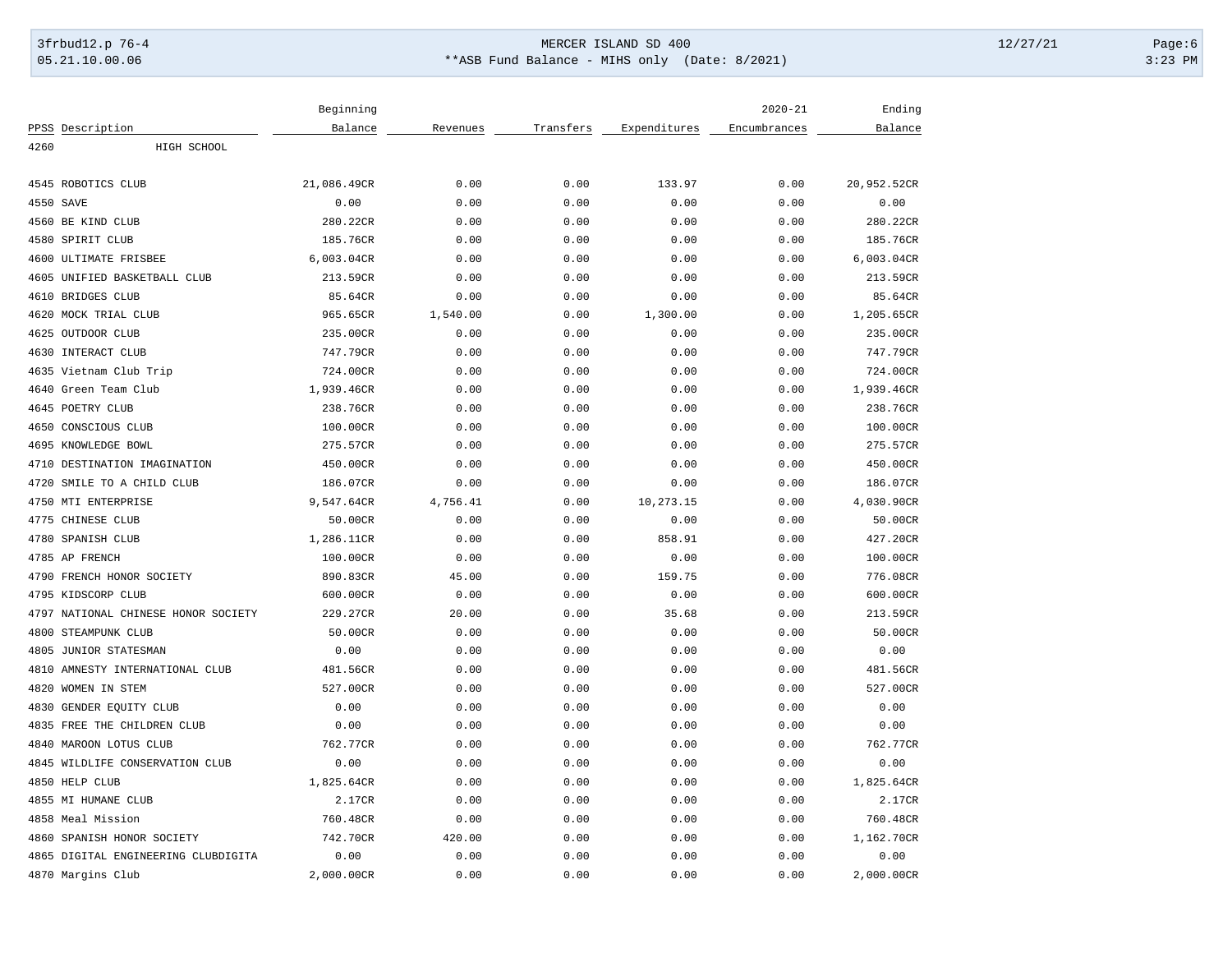# 3frbud12.p 76-4 Page:6 05.21.10.00.06 \*\*ASB Fund Balance - MIHS only (Date: 8/2021) 3:23 PM

|                                     | Beginning   |          |           |              | $2020 - 21$  | Ending      |
|-------------------------------------|-------------|----------|-----------|--------------|--------------|-------------|
| PPSS Description                    | Balance     | Revenues | Transfers | Expenditures | Encumbrances | Balance     |
| HIGH SCHOOL<br>4260                 |             |          |           |              |              |             |
|                                     |             |          |           |              |              |             |
| 4545 ROBOTICS CLUB                  | 21,086.49CR | 0.00     | 0.00      | 133.97       | 0.00         | 20,952.52CR |
| 4550 SAVE                           | 0.00        | 0.00     | 0.00      | 0.00         | 0.00         | 0.00        |
| 4560 BE KIND CLUB                   | 280.22CR    | 0.00     | 0.00      | 0.00         | 0.00         | 280.22CR    |
| 4580 SPIRIT CLUB                    | 185.76CR    | 0.00     | 0.00      | 0.00         | 0.00         | 185.76CR    |
| 4600 ULTIMATE FRISBEE               | 6,003.04CR  | 0.00     | 0.00      | 0.00         | 0.00         | 6,003.04CR  |
| 4605 UNIFIED BASKETBALL CLUB        | 213.59CR    | 0.00     | 0.00      | 0.00         | 0.00         | 213.59CR    |
| <b>BRIDGES CLUB</b><br>4610         | 85.64CR     | 0.00     | 0.00      | 0.00         | 0.00         | 85.64CR     |
| 4620<br>MOCK TRIAL CLUB             | 965.65CR    | 1,540.00 | 0.00      | 1,300.00     | 0.00         | 1,205.65CR  |
| 4625 OUTDOOR CLUB                   | 235.00CR    | 0.00     | 0.00      | 0.00         | 0.00         | 235.00CR    |
| 4630<br>INTERACT CLUB               | 747.79CR    | 0.00     | 0.00      | 0.00         | 0.00         | 747.79CR    |
| 4635 Vietnam Club Trip              | 724.00CR    | 0.00     | 0.00      | 0.00         | 0.00         | 724.00CR    |
| 4640<br>Green Team Club             | 1,939.46CR  | 0.00     | 0.00      | 0.00         | 0.00         | 1,939.46CR  |
| 4645 POETRY CLUB                    | 238.76CR    | 0.00     | 0.00      | 0.00         | 0.00         | 238.76CR    |
| 4650<br>CONSCIOUS CLUB              | 100.00CR    | 0.00     | 0.00      | 0.00         | 0.00         | 100.00CR    |
| 4695 KNOWLEDGE BOWL                 | 275.57CR    | 0.00     | 0.00      | 0.00         | 0.00         | 275.57CR    |
| 4710<br>DESTINATION IMAGINATION     | 450.00CR    | 0.00     | 0.00      | 0.00         | 0.00         | 450.00CR    |
| SMILE TO A CHILD CLUB<br>4720       | 186.07CR    | 0.00     | 0.00      | 0.00         | 0.00         | 186.07CR    |
| 4750 MTI ENTERPRISE                 | 9,547.64CR  | 4,756.41 | 0.00      | 10,273.15    | 0.00         | 4,030.90CR  |
| CHINESE CLUB<br>4775                | 50.00CR     | 0.00     | 0.00      | 0.00         | 0.00         | 50.00CR     |
| 4780<br>SPANISH CLUB                | 1,286.11CR  | 0.00     | 0.00      | 858.91       | 0.00         | 427.20CR    |
| 4785 AP FRENCH                      | 100.00CR    | 0.00     | 0.00      | 0.00         | 0.00         | 100.00CR    |
| FRENCH HONOR SOCIETY<br>4790        | 890.83CR    | 45.00    | 0.00      | 159.75       | 0.00         | 776.08CR    |
| 4795 KIDSCORP CLUB                  | 600.00CR    | 0.00     | 0.00      | 0.00         | 0.00         | 600.00CR    |
| 4797 NATIONAL CHINESE HONOR SOCIETY | 229.27CR    | 20.00    | 0.00      | 35.68        | 0.00         | 213.59CR    |
| STEAMPUNK CLUB<br>4800              | 50.00CR     | 0.00     | 0.00      | 0.00         | 0.00         | 50.00CR     |
| 4805<br>JUNIOR STATESMAN            | 0.00        | 0.00     | 0.00      | 0.00         | 0.00         | 0.00        |
| 4810<br>AMNESTY INTERNATIONAL CLUB  | 481.56CR    | 0.00     | 0.00      | 0.00         | 0.00         | 481.56CR    |
| 4820<br>WOMEN IN STEM               | 527.00CR    | 0.00     | 0.00      | 0.00         | 0.00         | 527.00CR    |
| 4830<br>GENDER EQUITY CLUB          | 0.00        | 0.00     | 0.00      | 0.00         | 0.00         | 0.00        |
| 4835<br>FREE THE CHILDREN CLUB      | 0.00        | 0.00     | 0.00      | 0.00         | 0.00         | 0.00        |
| 4840<br>MAROON LOTUS CLUB           | 762.77CR    | 0.00     | 0.00      | 0.00         | 0.00         | 762.77CR    |
| 4845 WILDLIFE CONSERVATION CLUB     | 0.00        | 0.00     | 0.00      | 0.00         | 0.00         | 0.00        |
| 4850 HELP CLUB                      | 1,825.64CR  | 0.00     | 0.00      | 0.00         | 0.00         | 1,825.64CR  |
| 4855 MI HUMANE CLUB                 | 2.17CR      | 0.00     | 0.00      | 0.00         | 0.00         | 2.17CR      |
| 4858 Meal Mission                   | 760.48CR    | 0.00     | 0.00      | 0.00         | 0.00         | 760.48CR    |
| 4860<br>SPANISH HONOR SOCIETY       | 742.70CR    | 420.00   | 0.00      | 0.00         | 0.00         | 1,162.70CR  |
| 4865 DIGITAL ENGINEERING CLUBDIGITA | 0.00        | 0.00     | 0.00      | 0.00         | 0.00         | 0.00        |
| 4870 Margins Club                   | 2,000.00CR  | 0.00     | 0.00      | 0.00         | 0.00         | 2,000.00CR  |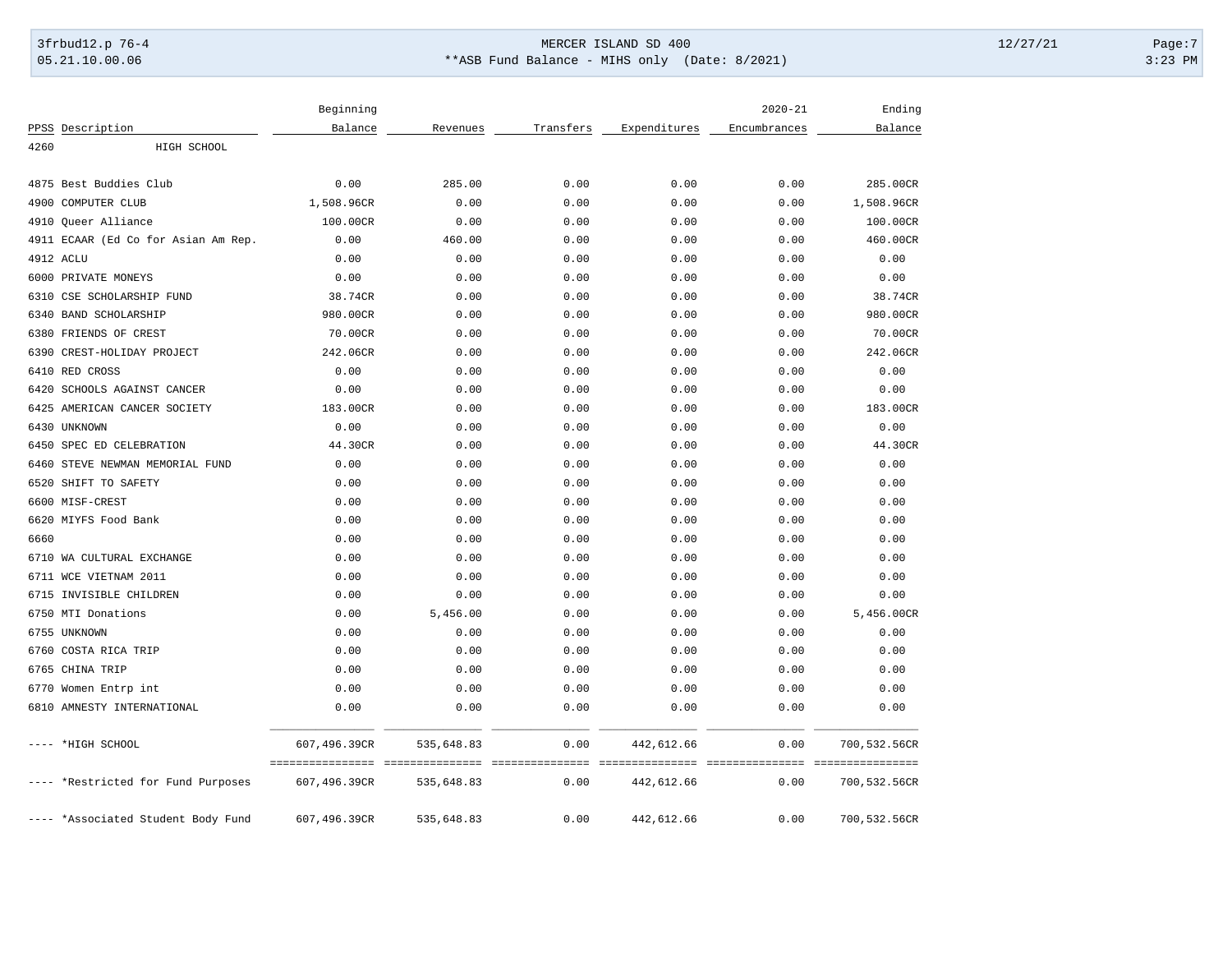# 3frbud12.p 76-4 Page:7 Page:7 05.21.10.00.06 \*\*ASB Fund Balance - MIHS only (Date: 8/2021) 3:23 PM

|      |                                     | Beginning                                         |            |                          |                                | $2020 - 21$                                | Ending       |
|------|-------------------------------------|---------------------------------------------------|------------|--------------------------|--------------------------------|--------------------------------------------|--------------|
|      | PPSS Description                    | Balance                                           | Revenues   | Transfers                | Expenditures                   | Encumbrances                               | Balance      |
| 4260 | HIGH SCHOOL                         |                                                   |            |                          |                                |                                            |              |
|      | 4875 Best Buddies Club              | 0.00                                              | 285.00     | 0.00                     | 0.00                           | 0.00                                       | 285.00CR     |
| 4900 | COMPUTER CLUB                       | 1,508.96CR                                        | 0.00       | 0.00                     | 0.00                           | 0.00                                       | 1,508.96CR   |
| 4910 | Queer Alliance                      | 100.00CR                                          | 0.00       | 0.00                     | 0.00                           | 0.00                                       | 100.00CR     |
|      | 4911 ECAAR (Ed Co for Asian Am Rep. | 0.00                                              | 460.00     | 0.00                     | 0.00                           | 0.00                                       | 460.00CR     |
|      | 4912 ACLU                           | 0.00                                              | 0.00       | 0.00                     | 0.00                           | 0.00                                       | 0.00         |
|      | 6000 PRIVATE MONEYS                 | 0.00                                              | 0.00       | 0.00                     | 0.00                           | 0.00                                       | 0.00         |
| 6310 | CSE SCHOLARSHIP FUND                | 38.74CR                                           | 0.00       | 0.00                     | 0.00                           | 0.00                                       | 38.74CR      |
| 6340 | <b>BAND SCHOLARSHIP</b>             | 980.00CR                                          | 0.00       | 0.00                     | 0.00                           | 0.00                                       | 980.00CR     |
| 6380 | FRIENDS OF CREST                    | 70.00CR                                           | 0.00       | 0.00                     | 0.00                           | 0.00                                       | 70.00CR      |
| 6390 | CREST-HOLIDAY PROJECT               | 242.06CR                                          | 0.00       | 0.00                     | 0.00                           | 0.00                                       | 242.06CR     |
| 6410 | RED CROSS                           | 0.00                                              | 0.00       | 0.00                     | 0.00                           | 0.00                                       | 0.00         |
| 6420 | SCHOOLS AGAINST CANCER              | 0.00                                              | 0.00       | 0.00                     | 0.00                           | 0.00                                       | 0.00         |
| 6425 | AMERICAN CANCER SOCIETY             | 183.00CR                                          | 0.00       | 0.00                     | 0.00                           | 0.00                                       | 183.00CR     |
| 6430 | UNKNOWN                             | 0.00                                              | 0.00       | 0.00                     | 0.00                           | 0.00                                       | 0.00         |
| 6450 | SPEC ED CELEBRATION                 | 44.30CR                                           | 0.00       | 0.00                     | 0.00                           | 0.00                                       | 44.30CR      |
| 6460 | STEVE NEWMAN MEMORIAL FUND          | 0.00                                              | 0.00       | 0.00                     | 0.00                           | 0.00                                       | 0.00         |
| 6520 | SHIFT TO SAFETY                     | 0.00                                              | 0.00       | 0.00                     | 0.00                           | 0.00                                       | 0.00         |
|      | 6600 MISF-CREST                     | 0.00                                              | 0.00       | 0.00                     | 0.00                           | 0.00                                       | 0.00         |
|      | 6620 MIYFS Food Bank                | 0.00                                              | 0.00       | 0.00                     | 0.00                           | 0.00                                       | 0.00         |
| 6660 |                                     | 0.00                                              | 0.00       | 0.00                     | 0.00                           | 0.00                                       | 0.00         |
|      | 6710 WA CULTURAL EXCHANGE           | 0.00                                              | 0.00       | 0.00                     | 0.00                           | 0.00                                       | 0.00         |
|      | 6711 WCE VIETNAM 2011               | 0.00                                              | 0.00       | 0.00                     | 0.00                           | 0.00                                       | 0.00         |
|      | 6715 INVISIBLE CHILDREN             | 0.00                                              | 0.00       | 0.00                     | 0.00                           | 0.00                                       | 0.00         |
|      | 6750 MTI Donations                  | 0.00                                              | 5,456.00   | 0.00                     | 0.00                           | 0.00                                       | 5,456.00CR   |
|      | 6755 UNKNOWN                        | 0.00                                              | 0.00       | 0.00                     | 0.00                           | 0.00                                       | 0.00         |
| 6760 | COSTA RICA TRIP                     | 0.00                                              | 0.00       | 0.00                     | 0.00                           | 0.00                                       | 0.00         |
| 6765 | CHINA TRIP                          | 0.00                                              | 0.00       | 0.00                     | 0.00                           | 0.00                                       | 0.00         |
| 6770 | Women Entrp int                     | 0.00                                              | 0.00       | 0.00                     | 0.00                           | 0.00                                       | 0.00         |
| 6810 | AMNESTY INTERNATIONAL               | 0.00                                              | 0.00       | 0.00                     | 0.00                           | 0.00                                       | 0.00         |
|      | ---- *HIGH SCHOOL                   | 607,496.39CR                                      | 535,648.83 | 0.00                     | 442,612.66                     | 0.00                                       | 700,532.56CR |
|      | ---- *Restricted for Fund Purposes  | =================================<br>607,496.39CR | 535,648.83 | ----------------<br>0.00 | ================<br>442,612.66 | _=============== =================<br>0.00 | 700,532.56CR |
|      | -- *Associated Student Body Fund    | 607,496.39CR                                      | 535,648.83 | 0.00                     | 442,612.66                     | 0.00                                       | 700,532.56CR |